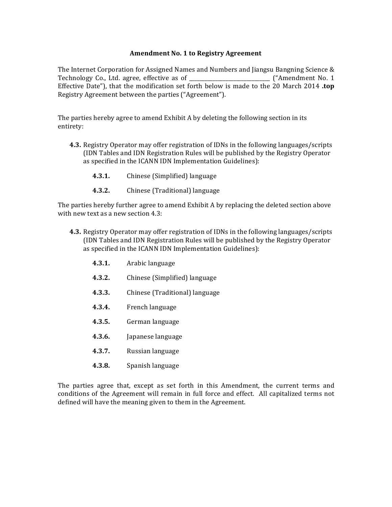## **Amendment No. 1 to Registry Agreement**

The Internet Corporation for Assigned Names and Numbers and Jiangsu Bangning Science & Technology Co., Ltd. agree, effective as of Effective Date"), that the modification set forth below is made to the 20 March 2014 **.top** Registry Agreement between the parties ("Agreement").

The parties hereby agree to amend Exhibit A by deleting the following section in its entirety:

- **4.3.** Registry Operator may offer registration of IDNs in the following languages/scripts (IDN Tables and IDN Registration Rules will be published by the Registry Operator as specified in the ICANN IDN Implementation Guidelines):
	- **4.3.1.** Chinese (Simplified) language
	- **4.3.2.** Chinese (Traditional) language

The parties hereby further agree to amend Exhibit A by replacing the deleted section above with new text as a new section  $4.3$ :

- **4.3.** Registry Operator may offer registration of IDNs in the following languages/scripts (IDN Tables and IDN Registration Rules will be published by the Registry Operator as specified in the ICANN IDN Implementation Guidelines):
	- **4.3.1.** Arabic language
	- **4.3.2.** Chinese (Simplified) language
	- **4.3.3.** Chinese (Traditional) language
	- **4.3.4.** French language
	- **4.3.5.** German language
	- **4.3.6.** Japanese language
	- **4.3.7.** Russian language
	- 4.3.8. Spanish language

The parties agree that, except as set forth in this Amendment, the current terms and conditions of the Agreement will remain in full force and effect. All capitalized terms not defined will have the meaning given to them in the Agreement.